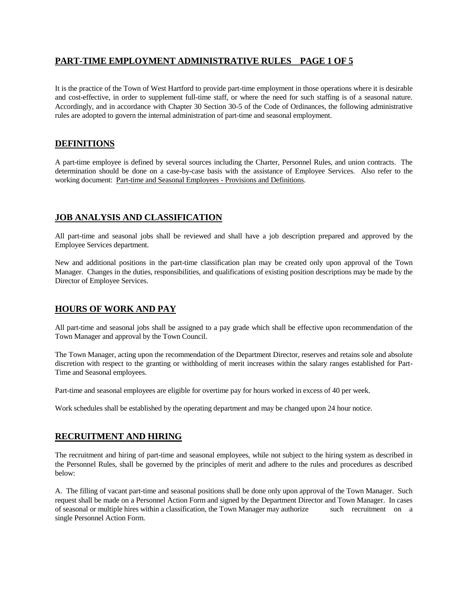# **PART-TIME EMPLOYMENT ADMINISTRATIVE RULES PAGE 1 OF 5**

It is the practice of the Town of West Hartford to provide part-time employment in those operations where it is desirable and cost-effective, in order to supplement full-time staff, or where the need for such staffing is of a seasonal nature. Accordingly, and in accordance with Chapter 30 Section 30-5 of the Code of Ordinances, the following administrative rules are adopted to govern the internal administration of part-time and seasonal employment.

# **DEFINITIONS**

A part-time employee is defined by several sources including the Charter, Personnel Rules, and union contracts. The determination should be done on a case-by-case basis with the assistance of Employee Services. Also refer to the working document: Part-time and Seasonal Employees - Provisions and Definitions.

# **JOB ANALYSIS AND CLASSIFICATION**

All part-time and seasonal jobs shall be reviewed and shall have a job description prepared and approved by the Employee Services department.

New and additional positions in the part-time classification plan may be created only upon approval of the Town Manager. Changes in the duties, responsibilities, and qualifications of existing position descriptions may be made by the Director of Employee Services.

## **HOURS OF WORK AND PAY**

All part-time and seasonal jobs shall be assigned to a pay grade which shall be effective upon recommendation of the Town Manager and approval by the Town Council.

The Town Manager, acting upon the recommendation of the Department Director, reserves and retains sole and absolute discretion with respect to the granting or withholding of merit increases within the salary ranges established for Part-Time and Seasonal employees.

Part-time and seasonal employees are eligible for overtime pay for hours worked in excess of 40 per week.

Work schedules shall be established by the operating department and may be changed upon 24 hour notice.

## **RECRUITMENT AND HIRING**

The recruitment and hiring of part-time and seasonal employees, while not subject to the hiring system as described in the Personnel Rules, shall be governed by the principles of merit and adhere to the rules and procedures as described below:

A. The filling of vacant part-time and seasonal positions shall be done only upon approval of the Town Manager. Such request shall be made on a Personnel Action Form and signed by the Department Director and Town Manager. In cases of seasonal or multiple hires within a classification, the Town Manager may authorize such recruitment on a single Personnel Action Form.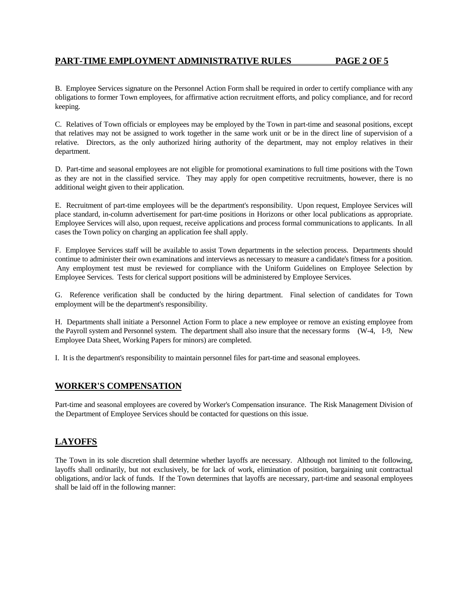B. Employee Services signature on the Personnel Action Form shall be required in order to certify compliance with any obligations to former Town employees, for affirmative action recruitment efforts, and policy compliance, and for record keeping.

C. Relatives of Town officials or employees may be employed by the Town in part-time and seasonal positions, except that relatives may not be assigned to work together in the same work unit or be in the direct line of supervision of a relative. Directors, as the only authorized hiring authority of the department, may not employ relatives in their department.

D. Part-time and seasonal employees are not eligible for promotional examinations to full time positions with the Town as they are not in the classified service. They may apply for open competitive recruitments, however, there is no additional weight given to their application.

E. Recruitment of part-time employees will be the department's responsibility. Upon request, Employee Services will place standard, in-column advertisement for part-time positions in Horizons or other local publications as appropriate. Employee Services will also, upon request, receive applications and process formal communications to applicants. In all cases the Town policy on charging an application fee shall apply.

F. Employee Services staff will be available to assist Town departments in the selection process. Departments should continue to administer their own examinations and interviews as necessary to measure a candidate's fitness for a position. Any employment test must be reviewed for compliance with the Uniform Guidelines on Employee Selection by Employee Services. Tests for clerical support positions will be administered by Employee Services.

G. Reference verification shall be conducted by the hiring department. Final selection of candidates for Town employment will be the department's responsibility.

H. Departments shall initiate a Personnel Action Form to place a new employee or remove an existing employee from the Payroll system and Personnel system. The department shall also insure that the necessary forms (W-4, I-9, New Employee Data Sheet, Working Papers for minors) are completed.

I. It is the department's responsibility to maintain personnel files for part-time and seasonal employees.

## **WORKER'S COMPENSATION**

Part-time and seasonal employees are covered by Worker's Compensation insurance. The Risk Management Division of the Department of Employee Services should be contacted for questions on this issue.

## **LAYOFFS**

The Town in its sole discretion shall determine whether layoffs are necessary. Although not limited to the following, layoffs shall ordinarily, but not exclusively, be for lack of work, elimination of position, bargaining unit contractual obligations, and/or lack of funds. If the Town determines that layoffs are necessary, part-time and seasonal employees shall be laid off in the following manner: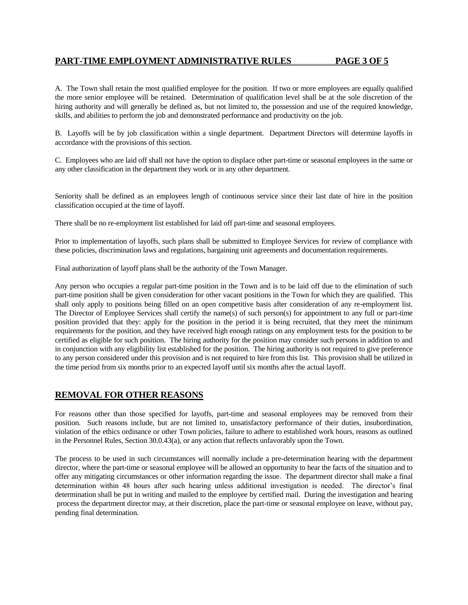## **PART-TIME EMPLOYMENT ADMINISTRATIVE RULES PAGE 3 OF 5**

A. The Town shall retain the most qualified employee for the position. If two or more employees are equally qualified the more senior employee will be retained. Determination of qualification level shall be at the sole discretion of the hiring authority and will generally be defined as, but not limited to, the possession and use of the required knowledge, skills, and abilities to perform the job and demonstrated performance and productivity on the job.

B. Layoffs will be by job classification within a single department. Department Directors will determine layoffs in accordance with the provisions of this section.

C. Employees who are laid off shall not have the option to displace other part-time or seasonal employees in the same or any other classification in the department they work or in any other department.

Seniority shall be defined as an employees length of continuous service since their last date of hire in the position classification occupied at the time of layoff.

There shall be no re-employment list established for laid off part-time and seasonal employees.

Prior to implementation of layoffs, such plans shall be submitted to Employee Services for review of compliance with these policies, discrimination laws and regulations, bargaining unit agreements and documentation requirements.

Final authorization of layoff plans shall be the authority of the Town Manager.

Any person who occupies a regular part-time position in the Town and is to be laid off due to the elimination of such part-time position shall be given consideration for other vacant positions in the Town for which they are qualified. This shall only apply to positions being filled on an open competitive basis after consideration of any re-employment list. The Director of Employee Services shall certify the name(s) of such person(s) for appointment to any full or part-time position provided that they: apply for the position in the period it is being recruited, that they meet the minimum requirements for the position, and they have received high enough ratings on any employment tests for the position to be certified as eligible for such position. The hiring authority for the position may consider such persons in addition to and in conjunction with any eligibility list established for the position. The hiring authority is not required to give preference to any person considered under this provision and is not required to hire from this list. This provision shall be utilized in the time period from six months prior to an expected layoff until six months after the actual layoff.

## **REMOVAL FOR OTHER REASONS**

For reasons other than those specified for layoffs, part-time and seasonal employees may be removed from their position. Such reasons include, but are not limited to, unsatisfactory performance of their duties, insubordination, violation of the ethics ordinance or other Town policies, failure to adhere to established work hours, reasons as outlined in the Personnel Rules, Section 30.0.43(a), or any action that reflects unfavorably upon the Town.

The process to be used in such circumstances will normally include a pre-determination hearing with the department director, where the part-time or seasonal employee will be allowed an opportunity to hear the facts of the situation and to offer any mitigating circumstances or other information regarding the issue. The department director shall make a final determination within 48 hours after such hearing unless additional investigation is needed. The director's final determination shall be put in writing and mailed to the employee by certified mail. During the investigation and hearing process the department director may, at their discretion, place the part-time or seasonal employee on leave, without pay, pending final determination.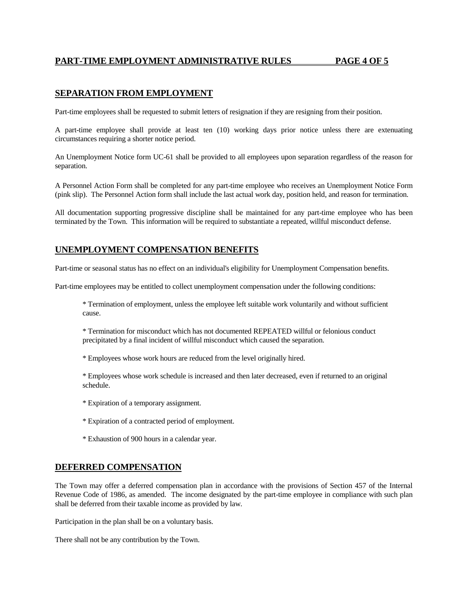# **PART-TIME EMPLOYMENT ADMINISTRATIVE RULES PAGE 4 OF 5**

# **SEPARATION FROM EMPLOYMENT**

Part-time employees shall be requested to submit letters of resignation if they are resigning from their position.

A part-time employee shall provide at least ten (10) working days prior notice unless there are extenuating circumstances requiring a shorter notice period.

An Unemployment Notice form UC-61 shall be provided to all employees upon separation regardless of the reason for separation.

A Personnel Action Form shall be completed for any part-time employee who receives an Unemployment Notice Form (pink slip). The Personnel Action form shall include the last actual work day, position held, and reason for termination.

All documentation supporting progressive discipline shall be maintained for any part-time employee who has been terminated by the Town. This information will be required to substantiate a repeated, willful misconduct defense.

#### **UNEMPLOYMENT COMPENSATION BENEFITS**

Part-time or seasonal status has no effect on an individual's eligibility for Unemployment Compensation benefits.

Part-time employees may be entitled to collect unemployment compensation under the following conditions:

\* Termination of employment, unless the employee left suitable work voluntarily and without sufficient cause.

\* Termination for misconduct which has not documented REPEATED willful or felonious conduct precipitated by a final incident of willful misconduct which caused the separation.

\* Employees whose work hours are reduced from the level originally hired.

\* Employees whose work schedule is increased and then later decreased, even if returned to an original schedule.

- \* Expiration of a temporary assignment.
- \* Expiration of a contracted period of employment.
- \* Exhaustion of 900 hours in a calendar year.

#### **DEFERRED COMPENSATION**

The Town may offer a deferred compensation plan in accordance with the provisions of Section 457 of the Internal Revenue Code of 1986, as amended. The income designated by the part-time employee in compliance with such plan shall be deferred from their taxable income as provided by law.

Participation in the plan shall be on a voluntary basis.

There shall not be any contribution by the Town.